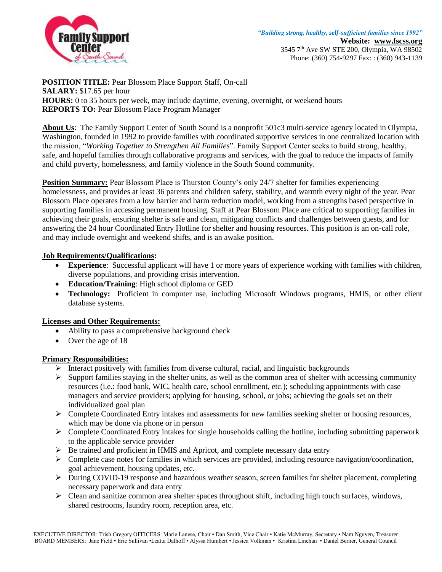

**POSITION TITLE:** Pear Blossom Place Support Staff, On-call **SALARY:** \$17.65 per hour **HOURS:** 0 to 35 hours per week, may include daytime, evening, overnight, or weekend hours **REPORTS TO:** Pear Blossom Place Program Manager

**About Us**: The Family Support Center of South Sound is a nonprofit 501c3 multi-service agency located in Olympia, Washington, founded in 1992 to provide families with coordinated supportive services in one centralized location with the mission, "*Working Together to Strengthen All Families*". Family Support Center seeks to build strong, healthy, safe, and hopeful families through collaborative programs and services, with the goal to reduce the impacts of family and child poverty, homelessness, and family violence in the South Sound community.

**Position Summary:** Pear Blossom Place is Thurston County's only 24/7 shelter for families experiencing homelessness, and provides at least 36 parents and children safety, stability, and warmth every night of the year. Pear Blossom Place operates from a low barrier and harm reduction model, working from a strengths based perspective in supporting families in accessing permanent housing. Staff at Pear Blossom Place are critical to supporting families in achieving their goals, ensuring shelter is safe and clean, mitigating conflicts and challenges between guests, and for answering the 24 hour Coordinated Entry Hotline for shelter and housing resources. This position is an on-call role, and may include overnight and weekend shifts, and is an awake position.

## **Job Requirements/Qualifications:**

- **Experience**: Successful applicant will have 1 or more years of experience working with families with children, diverse populations, and providing crisis intervention.
- **Education/Training**: High school diploma or GED
- **Technology:** Proficient in computer use, including Microsoft Windows programs, HMIS, or other client database systems.

## **Licenses and Other Requirements:**

- Ability to pass a comprehensive background check
- Over the age of 18

## **Primary Responsibilities:**

- $\triangleright$  Interact positively with families from diverse cultural, racial, and linguistic backgrounds
- $\triangleright$  Support families staying in the shelter units, as well as the common area of shelter with accessing community resources (i.e.: food bank, WIC, health care, school enrollment, etc.); scheduling appointments with case managers and service providers; applying for housing, school, or jobs; achieving the goals set on their individualized goal plan
- $\triangleright$  Complete Coordinated Entry intakes and assessments for new families seeking shelter or housing resources, which may be done via phone or in person
- $\triangleright$  Complete Coordinated Entry intakes for single households calling the hotline, including submitting paperwork to the applicable service provider
- $\triangleright$  Be trained and proficient in HMIS and Apricot, and complete necessary data entry
- $\triangleright$  Complete case notes for families in which services are provided, including resource navigation/coordination, goal achievement, housing updates, etc.
- $\triangleright$  During COVID-19 response and hazardous weather season, screen families for shelter placement, completing necessary paperwork and data entry
- $\triangleright$  Clean and sanitize common area shelter spaces throughout shift, including high touch surfaces, windows, shared restrooms, laundry room, reception area, etc.